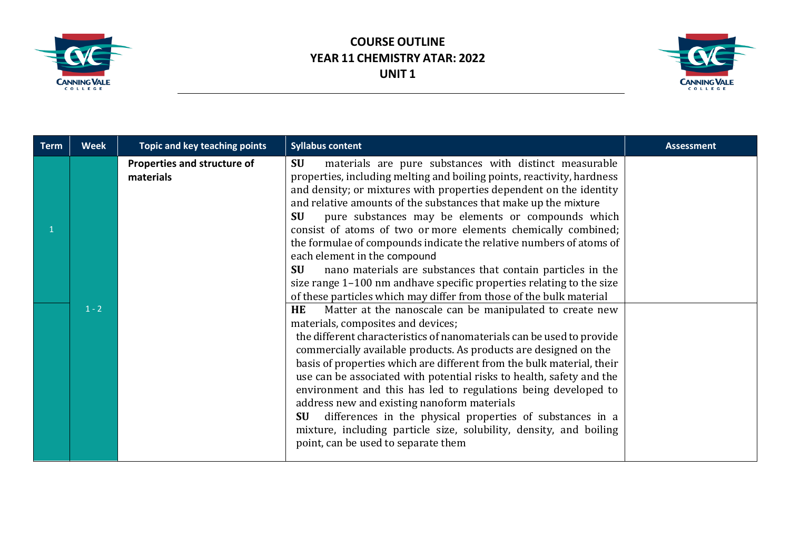



| <b>Term</b> | <b>Week</b> | <b>Topic and key teaching points</b>     | <b>Syllabus content</b>                                                                                                                                                                                                                                                                                                                                                                                                                                                                                                                                                                                                                                                                                                                                                                                                                | <b>Assessment</b> |
|-------------|-------------|------------------------------------------|----------------------------------------------------------------------------------------------------------------------------------------------------------------------------------------------------------------------------------------------------------------------------------------------------------------------------------------------------------------------------------------------------------------------------------------------------------------------------------------------------------------------------------------------------------------------------------------------------------------------------------------------------------------------------------------------------------------------------------------------------------------------------------------------------------------------------------------|-------------------|
|             | $1 - 2$     | Properties and structure of<br>materials | materials are pure substances with distinct measurable<br><b>SU</b><br>properties, including melting and boiling points, reactivity, hardness<br>and density; or mixtures with properties dependent on the identity<br>and relative amounts of the substances that make up the mixture<br>pure substances may be elements or compounds which<br><b>SU</b><br>consist of atoms of two or more elements chemically combined;<br>the formulae of compounds indicate the relative numbers of atoms of<br>each element in the compound<br><b>SU</b><br>nano materials are substances that contain particles in the<br>size range 1-100 nm and have specific properties relating to the size<br>of these particles which may differ from those of the bulk material<br>Matter at the nanoscale can be manipulated to create new<br><b>HE</b> |                   |
|             |             |                                          | materials, composites and devices;<br>the different characteristics of nanomaterials can be used to provide<br>commercially available products. As products are designed on the<br>basis of properties which are different from the bulk material, their<br>use can be associated with potential risks to health, safety and the<br>environment and this has led to regulations being developed to<br>address new and existing nanoform materials<br>differences in the physical properties of substances in a<br><b>SU</b><br>mixture, including particle size, solubility, density, and boiling<br>point, can be used to separate them                                                                                                                                                                                               |                   |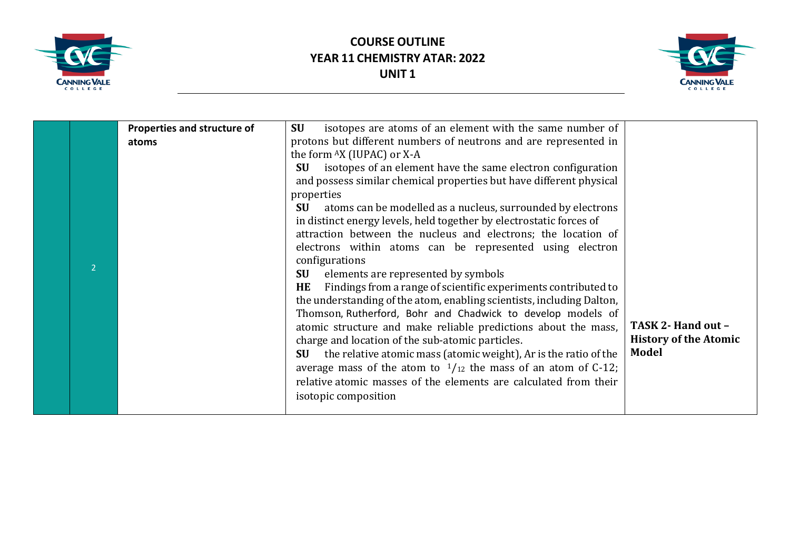



|  | Properties and structure of | isotopes are atoms of an element with the same number of<br><b>SU</b>    |                              |
|--|-----------------------------|--------------------------------------------------------------------------|------------------------------|
|  | atoms                       | protons but different numbers of neutrons and are represented in         |                              |
|  |                             | the form AX (IUPAC) or X-A                                               |                              |
|  |                             | isotopes of an element have the same electron configuration<br><b>SU</b> |                              |
|  |                             | and possess similar chemical properties but have different physical      |                              |
|  |                             | properties                                                               |                              |
|  |                             | atoms can be modelled as a nucleus, surrounded by electrons<br><b>SU</b> |                              |
|  |                             | in distinct energy levels, held together by electrostatic forces of      |                              |
|  |                             | attraction between the nucleus and electrons; the location of            |                              |
|  |                             | electrons within atoms can be represented using electron                 |                              |
|  |                             | configurations                                                           |                              |
|  |                             | <b>SU</b><br>elements are represented by symbols                         |                              |
|  |                             | Findings from a range of scientific experiments contributed to<br>HE     |                              |
|  |                             | the understanding of the atom, enabling scientists, including Dalton,    |                              |
|  |                             | Thomson, Rutherford, Bohr and Chadwick to develop models of              |                              |
|  |                             | atomic structure and make reliable predictions about the mass,           | TASK 2- Hand out -           |
|  |                             | charge and location of the sub-atomic particles.                         | <b>History of the Atomic</b> |
|  |                             | the relative atomic mass (atomic weight), Ar is the ratio of the<br>SU   | <b>Model</b>                 |
|  |                             | average mass of the atom to $\frac{1}{12}$ the mass of an atom of C-12;  |                              |
|  |                             | relative atomic masses of the elements are calculated from their         |                              |
|  |                             | isotopic composition                                                     |                              |
|  |                             |                                                                          |                              |
|  |                             |                                                                          |                              |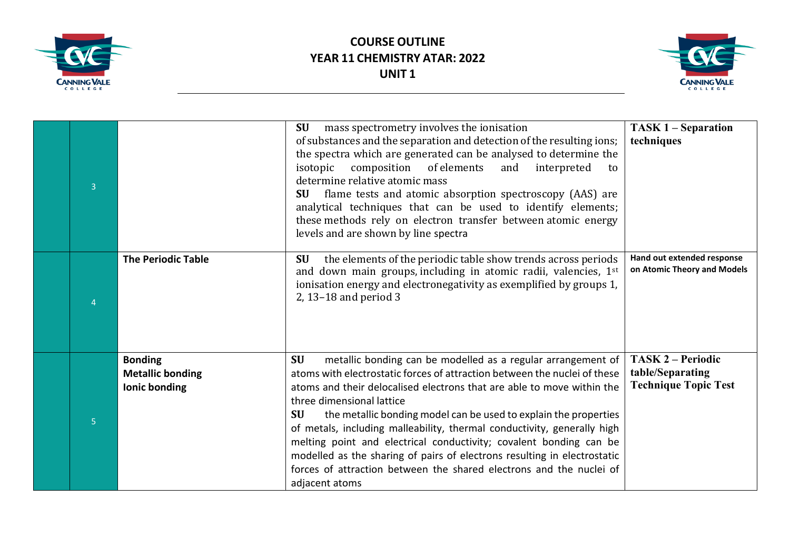



| $\overline{3}$ |                                                            | <b>SU</b><br>mass spectrometry involves the ionisation<br>of substances and the separation and detection of the resulting ions;<br>the spectra which are generated can be analysed to determine the<br>composition of elements<br>isotopic<br>and<br>interpreted<br>to<br>determine relative atomic mass<br>flame tests and atomic absorption spectroscopy (AAS) are<br>SU-<br>analytical techniques that can be used to identify elements;<br>these methods rely on electron transfer between atomic energy<br>levels and are shown by line spectra                                                                                                                 | <b>TASK 1 – Separation</b><br>techniques                                    |
|----------------|------------------------------------------------------------|----------------------------------------------------------------------------------------------------------------------------------------------------------------------------------------------------------------------------------------------------------------------------------------------------------------------------------------------------------------------------------------------------------------------------------------------------------------------------------------------------------------------------------------------------------------------------------------------------------------------------------------------------------------------|-----------------------------------------------------------------------------|
|                | <b>The Periodic Table</b>                                  | the elements of the periodic table show trends across periods<br><b>SU</b><br>and down main groups, including in atomic radii, valencies, 1st<br>ionisation energy and electronegativity as exemplified by groups 1,<br>2, 13-18 and period 3                                                                                                                                                                                                                                                                                                                                                                                                                        | Hand out extended response<br>on Atomic Theory and Models                   |
| 5 <sup>1</sup> | <b>Bonding</b><br><b>Metallic bonding</b><br>Ionic bonding | <b>SU</b><br>metallic bonding can be modelled as a regular arrangement of<br>atoms with electrostatic forces of attraction between the nuclei of these<br>atoms and their delocalised electrons that are able to move within the<br>three dimensional lattice<br>the metallic bonding model can be used to explain the properties<br><b>SU</b><br>of metals, including malleability, thermal conductivity, generally high<br>melting point and electrical conductivity; covalent bonding can be<br>modelled as the sharing of pairs of electrons resulting in electrostatic<br>forces of attraction between the shared electrons and the nuclei of<br>adjacent atoms | <b>TASK 2 – Periodic</b><br>table/Separating<br><b>Technique Topic Test</b> |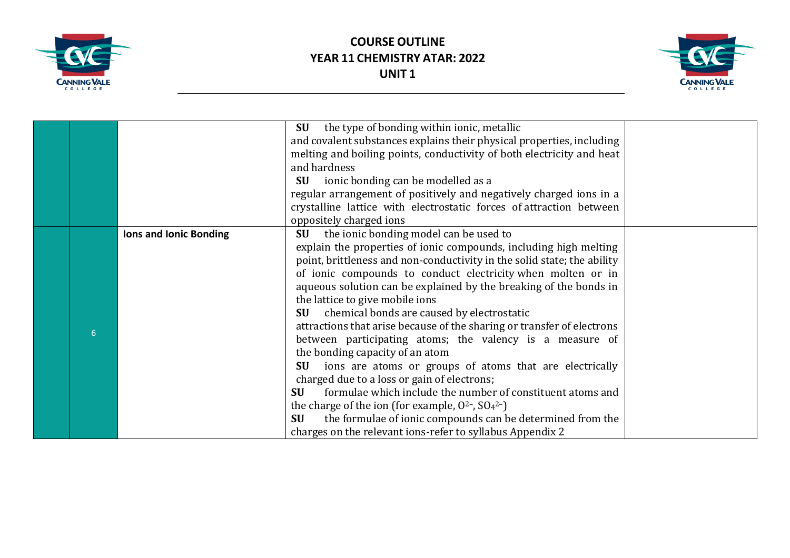



|   |                               | the type of bonding within ionic, metallic<br>SU                        |  |
|---|-------------------------------|-------------------------------------------------------------------------|--|
|   |                               | and covalent substances explains their physical properties, including   |  |
|   |                               | melting and boiling points, conductivity of both electricity and heat   |  |
|   |                               | and hardness                                                            |  |
|   |                               | <b>SU</b><br>ionic bonding can be modelled as a                         |  |
|   |                               | regular arrangement of positively and negatively charged ions in a      |  |
|   |                               | crystalline lattice with electrostatic forces of attraction between     |  |
|   |                               | oppositely charged ions                                                 |  |
|   | <b>Ions and Ionic Bonding</b> | the ionic bonding model can be used to<br><b>SU</b>                     |  |
|   |                               | explain the properties of ionic compounds, including high melting       |  |
|   |                               | point, brittleness and non-conductivity in the solid state; the ability |  |
|   |                               | of ionic compounds to conduct electricity when molten or in             |  |
|   |                               | aqueous solution can be explained by the breaking of the bonds in       |  |
|   |                               | the lattice to give mobile ions                                         |  |
|   |                               | chemical bonds are caused by electrostatic<br>SU                        |  |
| 6 |                               | attractions that arise because of the sharing or transfer of electrons  |  |
|   |                               | between participating atoms; the valency is a measure of                |  |
|   |                               | the bonding capacity of an atom                                         |  |
|   |                               | ions are atoms or groups of atoms that are electrically<br><b>SU</b>    |  |
|   |                               | charged due to a loss or gain of electrons;                             |  |
|   |                               | formulae which include the number of constituent atoms and<br>SU        |  |
|   |                               | the charge of the ion (for example, $0^{2}$ -, $SO_4$ <sup>2-</sup> )   |  |
|   |                               | the formulae of ionic compounds can be determined from the<br><b>SU</b> |  |
|   |                               | charges on the relevant ions-refer to syllabus Appendix 2               |  |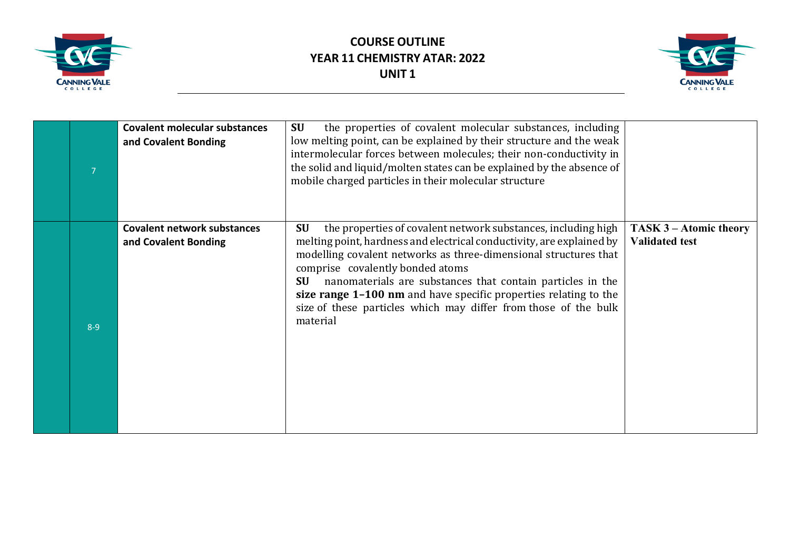



| 7       | <b>Covalent molecular substances</b><br>and Covalent Bonding | the properties of covalent molecular substances, including<br>SU<br>low melting point, can be explained by their structure and the weak<br>intermolecular forces between molecules; their non-conductivity in<br>the solid and liquid/molten states can be explained by the absence of<br>mobile charged particles in their molecular structure                                                                                                                                           |                                                 |
|---------|--------------------------------------------------------------|-------------------------------------------------------------------------------------------------------------------------------------------------------------------------------------------------------------------------------------------------------------------------------------------------------------------------------------------------------------------------------------------------------------------------------------------------------------------------------------------|-------------------------------------------------|
| $8 - 9$ | <b>Covalent network substances</b><br>and Covalent Bonding   | the properties of covalent network substances, including high<br><b>SU</b><br>melting point, hardness and electrical conductivity, are explained by<br>modelling covalent networks as three-dimensional structures that<br>comprise covalently bonded atoms<br>nanomaterials are substances that contain particles in the<br><b>SU</b><br>size range 1-100 nm and have specific properties relating to the<br>size of these particles which may differ from those of the bulk<br>material | TASK 3 – Atomic theory<br><b>Validated test</b> |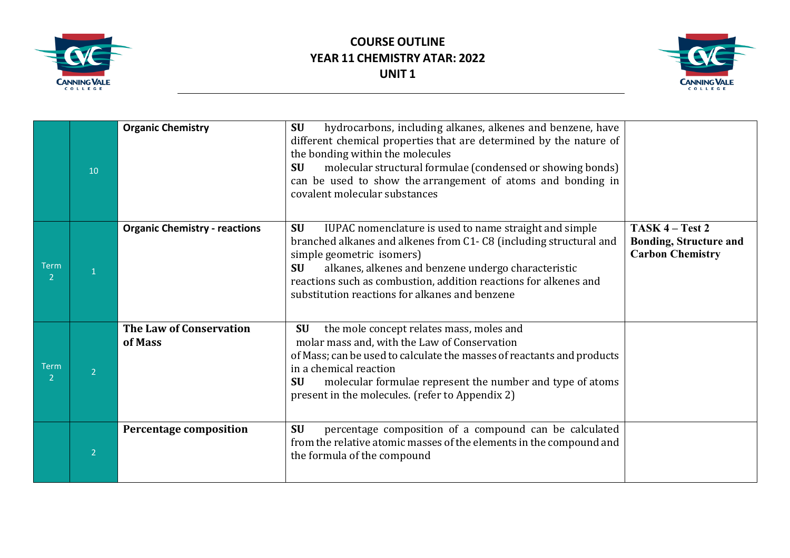



|                               | 10             | <b>Organic Chemistry</b>             | hydrocarbons, including alkanes, alkenes and benzene, have<br><b>SU</b><br>different chemical properties that are determined by the nature of<br>the bonding within the molecules<br>molecular structural formulae (condensed or showing bonds)<br><b>SU</b><br>can be used to show the arrangement of atoms and bonding in<br>covalent molecular substances    |                                                                             |
|-------------------------------|----------------|--------------------------------------|-----------------------------------------------------------------------------------------------------------------------------------------------------------------------------------------------------------------------------------------------------------------------------------------------------------------------------------------------------------------|-----------------------------------------------------------------------------|
| <b>Term</b><br>$\mathcal{P}$  |                | <b>Organic Chemistry - reactions</b> | <b>SU</b><br>IUPAC nomenclature is used to name straight and simple<br>branched alkanes and alkenes from C1-C8 (including structural and<br>simple geometric isomers)<br>alkanes, alkenes and benzene undergo characteristic<br><b>SU</b><br>reactions such as combustion, addition reactions for alkenes and<br>substitution reactions for alkanes and benzene | TASK 4 – Test 2<br><b>Bonding, Structure and</b><br><b>Carbon Chemistry</b> |
| <b>Term</b><br>$\overline{2}$ |                | The Law of Conservation<br>of Mass   | the mole concept relates mass, moles and<br><b>SU</b><br>molar mass and, with the Law of Conservation<br>of Mass; can be used to calculate the masses of reactants and products<br>in a chemical reaction<br>molecular formulae represent the number and type of atoms<br><b>SU</b><br>present in the molecules. (refer to Appendix 2)                          |                                                                             |
|                               | $\overline{2}$ | <b>Percentage composition</b>        | percentage composition of a compound can be calculated<br><b>SU</b><br>from the relative atomic masses of the elements in the compound and<br>the formula of the compound                                                                                                                                                                                       |                                                                             |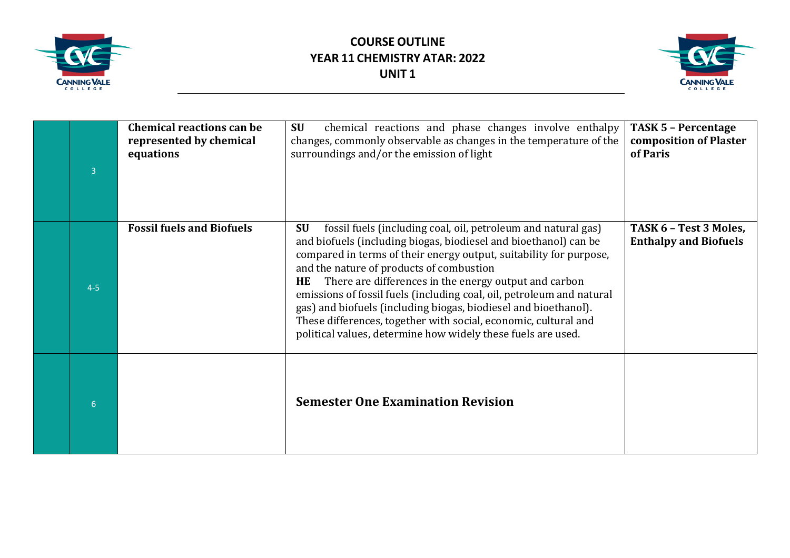



| 3       | <b>Chemical reactions can be</b><br>represented by chemical<br>equations | <b>SU</b><br>chemical reactions and phase changes involve enthalpy<br>changes, commonly observable as changes in the temperature of the<br>surroundings and/or the emission of light                                                                                                                                                                                                                                                                                                                                                                                                                                  | <b>TASK 5 - Percentage</b><br>composition of Plaster<br>of Paris |
|---------|--------------------------------------------------------------------------|-----------------------------------------------------------------------------------------------------------------------------------------------------------------------------------------------------------------------------------------------------------------------------------------------------------------------------------------------------------------------------------------------------------------------------------------------------------------------------------------------------------------------------------------------------------------------------------------------------------------------|------------------------------------------------------------------|
| $4 - 5$ | <b>Fossil fuels and Biofuels</b>                                         | <b>SU</b><br>fossil fuels (including coal, oil, petroleum and natural gas)<br>and biofuels (including biogas, biodiesel and bioethanol) can be<br>compared in terms of their energy output, suitability for purpose,<br>and the nature of products of combustion<br>There are differences in the energy output and carbon<br><b>HE</b><br>emissions of fossil fuels (including coal, oil, petroleum and natural<br>gas) and biofuels (including biogas, biodiesel and bioethanol).<br>These differences, together with social, economic, cultural and<br>political values, determine how widely these fuels are used. | TASK 6 - Test 3 Moles,<br><b>Enthalpy and Biofuels</b>           |
| 6       |                                                                          | <b>Semester One Examination Revision</b>                                                                                                                                                                                                                                                                                                                                                                                                                                                                                                                                                                              |                                                                  |